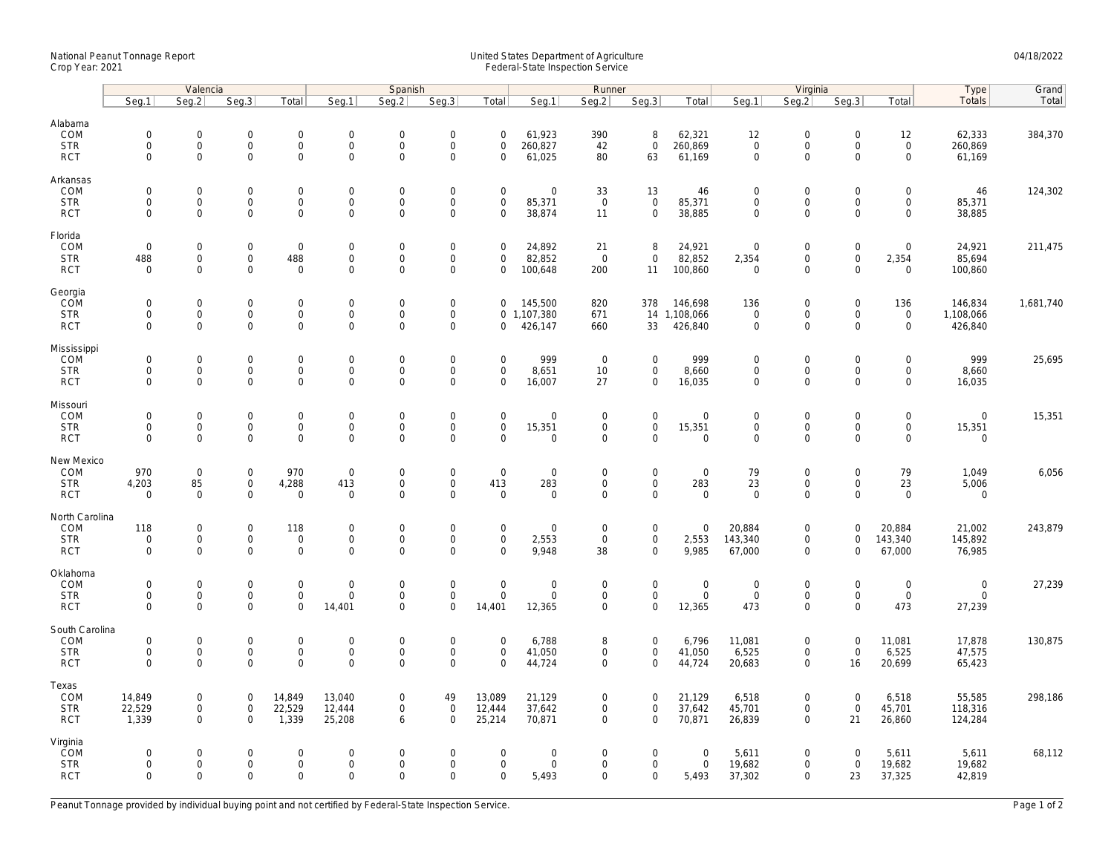## National Peanut Tonnage Report United States Department of Agriculture 04/18/2022<br>Crop Year: 2021 Federal-State Inspection Service

|                                                   | Valencia                                                   |                                            |                                                                |                                                   | Spanish                                         |                                                        |                                                                   |                                                      | Runner                          |                                                   |                                                    |                                           | Virginia                                  |                                                        |                                                   |                                                   | Type                                              | Grand     |
|---------------------------------------------------|------------------------------------------------------------|--------------------------------------------|----------------------------------------------------------------|---------------------------------------------------|-------------------------------------------------|--------------------------------------------------------|-------------------------------------------------------------------|------------------------------------------------------|---------------------------------|---------------------------------------------------|----------------------------------------------------|-------------------------------------------|-------------------------------------------|--------------------------------------------------------|---------------------------------------------------|---------------------------------------------------|---------------------------------------------------|-----------|
|                                                   | Seg.1                                                      | Seq.2                                      | Seg.3                                                          | Total                                             | Seg.1                                           | Seq.2                                                  | Seg.3                                                             | Total                                                | Seg.1                           | Seg.2                                             | Seq.3                                              | Total                                     | Seq.1                                     | Seq.2                                                  | Seg.3                                             | Total                                             | <b>Totals</b>                                     | Total     |
| Alabama<br>COM<br><b>STR</b><br><b>RCT</b>        | $\mathsf{O}\xspace$<br>0<br>$\mathbf 0$                    | 0<br>$\mathsf{O}\xspace$<br>$\overline{0}$ | $\boldsymbol{0}$<br>$\mathsf{O}\xspace$<br>$\mathsf{O}\xspace$ | $\mathbf 0$<br>$\mathsf{O}\xspace$<br>$\mathbf 0$ | $\mathbf 0$<br>$\mathbf 0$<br>$\mathbf 0$       | $\mathbf 0$<br>$\mathbf 0$<br>$\mathbf 0$              | $\mathsf{O}\xspace$<br>$\mathsf{O}\xspace$<br>$\mathsf{O}\xspace$ | $\mathsf{O}\xspace$<br>$\mathbf 0$<br>$\mathbf 0$    | 61,923<br>260,827<br>61,025     | 390<br>42<br>80                                   | 8<br>$\mathsf{O}\xspace$<br>63                     | 62,321<br>260,869<br>61,169               | 12<br>$\mathbf 0$<br>$\mathbf 0$          | $\mathbf 0$<br>$\mathsf{O}\xspace$<br>$\mathbf 0$      | $\mathsf{O}\xspace$<br>$\mathbf 0$<br>$\mathbf 0$ | 12<br>$\mathsf{O}\xspace$<br>$\mathsf{O}\xspace$  | 62,333<br>260,869<br>61,169                       | 384,370   |
| Arkansas<br>COM<br><b>STR</b><br><b>RCT</b>       | $\mathbf 0$<br>$\mathbf 0$<br>$\mathbf{0}$                 | 0<br>$\overline{0}$<br>0                   | $\overline{0}$<br>$\mathbf 0$<br>$\mathsf 0$                   | $\mathsf 0$<br>$\mathbf{0}$<br>$\mathsf 0$        | $\mathbf 0$<br>$\mathbf{0}$<br>$\mathbf 0$      | $\mathbf 0$<br>$\mathbf 0$<br>$\mathbf 0$              | $\mathbf 0$<br>$\mathsf{O}\xspace$<br>$\mathbf 0$                 | $\mathbf 0$<br>$\mathbf 0$<br>$\mathsf{O}\xspace$    | 0<br>85,371<br>38,874           | 33<br>$\mathsf 0$<br>11                           | 13<br>$\mathbf{0}$<br>$\mathbf 0$                  | 46<br>85,371<br>38,885                    | $\mathbf 0$<br>$\mathbf 0$<br>$\mathbf 0$ | $\mathbf 0$<br>$\mathbf 0$<br>$\mathsf 0$              | $\mathbf 0$<br>$\mathbf 0$<br>$\mathbf 0$         | 0<br>$\mathbf 0$<br>0                             | 46<br>85,371<br>38,885                            | 124,302   |
| Florida<br>COM<br><b>STR</b><br><b>RCT</b>        | $\mathsf{O}\xspace$<br>488<br>$\Omega$                     | 0<br>0<br>$\Omega$                         | $\mathsf 0$<br>$\mathsf 0$<br>$\mathsf 0$                      | $\mathsf 0$<br>488<br>$\mathbf 0$                 | $\mathbf 0$<br>$\mathbf 0$<br>$\mathbf 0$       | $\mathsf{O}\xspace$<br>$\mathsf{O}\xspace$<br>$\Omega$ | $\mathsf{O}\xspace$<br>$\mathbf 0$<br>$\mathbf 0$                 | $\mathbf 0$<br>$\mathbf 0$<br>$\mathbf 0$            | 24,892<br>82,852<br>100,648     | 21<br>$\overline{0}$<br>200                       | 8<br>$\mathsf 0$<br>11                             | 24,921<br>82,852<br>100,860               | $\mathbf 0$<br>2,354<br>$\Omega$          | $\boldsymbol{0}$<br>$\mathsf{O}\xspace$<br>$\Omega$    | $\mathsf{O}\xspace$<br>$\mathbf 0$<br>$\Omega$    | 0<br>2,354<br>0                                   | 24,921<br>85,694<br>100,860                       | 211,475   |
| Georgia<br>COM<br><b>STR</b><br><b>RCT</b>        | $\mathsf{O}\xspace$<br>$\mathbf 0$<br>$\mathbf{0}$         | 0<br>0<br>$\overline{0}$                   | $\mathsf 0$<br>$\mathsf{O}\xspace$<br>$\mathbf 0$              | $\mathbf 0$<br>$\mathsf{O}\xspace$<br>$\mathbf 0$ | $\mathbf 0$<br>$\boldsymbol{0}$<br>$\mathbf{0}$ | $\mathbf 0$<br>$\mathsf{O}\xspace$<br>$\mathbf 0$      | $\mathsf{O}\xspace$<br>$\mathsf{O}\xspace$<br>$\mathbf 0$         | $\mathbf 0$<br>$\mathbf{0}$<br>$\mathbf 0$           | 145,500<br>1,107,380<br>426,147 | 820<br>671<br>660                                 | 378<br>33                                          | 146,698<br>14 1,108,066<br>426,840        | 136<br>$\mathbf 0$<br>$\mathbf 0$         | $\boldsymbol{0}$<br>$\mathsf{O}\xspace$<br>$\Omega$    | $\mathsf{O}\xspace$<br>$\mathbf 0$<br>$\Omega$    | 136<br>$\mathbf 0$<br>$\mathbf 0$                 | 146,834<br>1,108,066<br>426,840                   | 1,681,740 |
| Mississippi<br>COM<br><b>STR</b><br><b>RCT</b>    | $\mathbf 0$<br>$\mathsf{O}\xspace$<br>$\mathbf 0$          | $\mathbf{0}$<br>0<br>0                     | $\overline{0}$<br>$\mathsf{O}\xspace$<br>$\mathbf 0$           | $\mathbf{0}$<br>$\mathsf{O}$<br>$\mathsf 0$       | $\mathbf 0$<br>$\mathbf 0$<br>$\mathbf 0$       | $\mathbf 0$<br>$\mathbf 0$<br>$\mathbf 0$              | $\mathsf{O}\xspace$<br>$\mathsf{O}\xspace$<br>$\mathbf 0$         | $\mathbf 0$<br>$\mathsf{O}\xspace$<br>$\mathbf 0$    | 999<br>8,651<br>16,007          | $\mathsf 0$<br>10<br>27                           | $\mathbf 0$<br>$\mathsf{O}$<br>$\mathbf 0$         | 999<br>8,660<br>16,035                    | $\mathbf 0$<br>$\mathbf 0$<br>$\mathbf 0$ | $\boldsymbol{0}$<br>$\mathsf{O}\xspace$<br>$\Omega$    | $\mathbf 0$<br>$\mathbf 0$<br>$\mathbf 0$         | $\mathbf 0$<br>$\mathsf{O}\xspace$<br>$\mathbf 0$ | 999<br>8,660<br>16,035                            | 25,695    |
| Missouri<br>COM<br><b>STR</b><br><b>RCT</b>       | $\mathbf 0$<br>$\mathbf 0$<br>$\mathbf 0$                  | $\mathbf{0}$<br>0<br>0                     | $\mathbf 0$<br>$\mathsf 0$<br>$\mathbf 0$                      | $\mathsf{O}$<br>$\mathsf 0$<br>$\mathbf 0$        | $\mathbf{0}$<br>$\mathbf 0$<br>$\mathbf 0$      | $\mathbf 0$<br>$\mathsf{O}\xspace$<br>$\mathbf 0$      | $\mathbf 0$<br>$\mathsf{O}\xspace$<br>$\mathbf 0$                 | $\mathbf 0$<br>$\mathsf{O}\xspace$<br>$\mathbf 0$    | $\mathbf 0$<br>15,351<br>0      | $\mathbf 0$<br>$\mathsf{O}\xspace$<br>$\mathbf 0$ | $\mathsf{O}$<br>$\mathsf{O}\xspace$<br>$\mathbf 0$ | $\mathbf 0$<br>15,351<br>$\mathbf 0$      | $\mathbf 0$<br>$\mathbf 0$<br>$\mathbf 0$ | $\mathbf 0$<br>$\mathsf{O}\xspace$<br>$\Omega$         | $\mathbf 0$<br>$\mathsf{O}\xspace$<br>$\mathbf 0$ | $\mathbf 0$<br>0<br>0                             | $\mathbf 0$<br>15,351<br>$\mathbf 0$              | 15,351    |
| New Mexico<br>COM<br><b>STR</b><br><b>RCT</b>     | 970<br>4,203<br>$\mathbf 0$                                | $\mathbf 0$<br>85<br>$\mathbf 0$           | $\mathbf 0$<br>$\overline{0}$<br>$\mathsf{O}\xspace$           | 970<br>4,288<br>$\mathbf 0$                       | $\mathbf 0$<br>413<br>$\mathbf 0$               | $\mathsf{O}\xspace$<br>$\Omega$<br>$\mathbf 0$         | $\mathbf 0$<br>$\overline{0}$<br>$\overline{0}$                   | $\mathsf{O}\xspace$<br>413<br>$\mathbf 0$            | 0<br>283<br>$\mathbf 0$         | $\mathbf 0$<br>$\mathsf 0$<br>$\mathsf{O}\xspace$ | $\mathsf 0$<br>$\mathsf{O}\xspace$<br>$\mathbf 0$  | $\mathbf 0$<br>283<br>$\mathbf 0$         | 79<br>23<br>$\overline{0}$                | $\mathbf 0$<br>$\mathsf{O}\xspace$<br>$\mathbf 0$      | $\mathbf 0$<br>$\mathbf 0$<br>$\mathbf 0$         | 79<br>23<br>$\mathbf 0$                           | 1,049<br>5,006<br>$\mathbf 0$                     | 6,056     |
| North Carolina<br>COM<br><b>STR</b><br><b>RCT</b> | 118<br>$\mathsf{O}\xspace$<br>$\mathbf 0$                  | 0<br>0<br>0                                | $\mathsf 0$<br>$\mathsf{O}\xspace$<br>$\mathsf{O}\xspace$      | 118<br>$\mathbf 0$<br>$\mathsf 0$                 | $\boldsymbol{0}$<br>$\mathbf 0$<br>$\mathbf 0$  | $\mathbf 0$<br>$\Omega$<br>$\mathbf 0$                 | $\mathsf{O}\xspace$<br>$\mathsf{O}\xspace$<br>$\mathbf 0$         | $\mathsf{O}\xspace$<br>$\mathbf 0$<br>$\mathbf 0$    | 0<br>2,553<br>9,948             | $\mathbf 0$<br>$\mathsf{O}$<br>38                 | $\mathsf{O}$<br>$\mathsf{O}\xspace$<br>$\mathbf 0$ | $\mathbf 0$<br>2,553<br>9,985             | 20,884<br>143,340<br>67,000               | $\boldsymbol{0}$<br>$\mathsf{O}\xspace$<br>$\mathbf 0$ | $\mathbf 0$<br>$\mathbf 0$<br>$\mathbf 0$         | 20,884<br>143,340<br>67,000                       | 21,002<br>145,892<br>76,985                       | 243,879   |
| Oklahoma<br>COM<br><b>STR</b><br><b>RCT</b>       | $\mathsf{O}\xspace$<br>$\mathsf{O}\xspace$<br>$\mathbf{0}$ | 0<br>0<br>0                                | $\mathbf 0$<br>$\mathsf{O}$<br>$\mathbf 0$                     | $\mathbf 0$<br>$\mathbf 0$<br>$\mathbf 0$         | $\mathbf 0$<br>$\mathbf 0$<br>14,401            | $\mathbf 0$<br>$\mathbf 0$<br>$\mathbf 0$              | $\mathsf{O}\xspace$<br>$\mathsf{O}\xspace$<br>$\mathbf 0$         | $\mathsf{O}\xspace$<br>$\mathsf{O}\xspace$<br>14,401 | 0<br>0<br>12,365                | $\mathbf 0$<br>$\mathsf 0$<br>$\mathsf{O}\xspace$ | $\mathsf 0$<br>$\mathbf 0$<br>$\mathsf 0$          | $\boldsymbol{0}$<br>$\mathbf 0$<br>12,365 | $\mathbf 0$<br>$\mathbf 0$<br>473         | $\mathbf 0$<br>$\mathsf 0$<br>$\mathbf 0$              | $\mathbf 0$<br>$\mathsf{O}\xspace$<br>$\mathbf 0$ | 0<br>$\mathsf{O}\xspace$<br>473                   | $\boldsymbol{0}$<br>$\mathsf{O}\xspace$<br>27,239 | 27,239    |
| South Carolina<br>COM<br><b>STR</b><br><b>RCT</b> | $\mathsf{O}\xspace$<br>$\mathsf{O}\xspace$<br>$\Omega$     | 0<br>0<br>$\Omega$                         | $\mathsf 0$<br>$\mathsf{O}$<br>$\mathbf 0$                     | $\mathsf 0$<br>$\mathsf{O}\xspace$<br>$\mathbf 0$ | $\mathbf 0$<br>$\mathbf 0$<br>$\Omega$          | $\mathsf{O}\xspace$<br>$\mathsf{O}\xspace$<br>$\Omega$ | $\mathbf 0$<br>$\mathbf 0$<br>$\Omega$                            | $\mathbf 0$<br>$\mathsf{O}\xspace$<br>$\Omega$       | 6,788<br>41,050<br>44,724       | 8<br>$\mathbf 0$<br>$\overline{0}$                | $\mathsf 0$<br>$\mathbf 0$<br>$\mathbf{0}$         | 6,796<br>41,050<br>44,724                 | 11,081<br>6,525<br>20,683                 | $\mathsf 0$<br>$\mathsf 0$<br>$\Omega$                 | $\mathsf{O}\xspace$<br>$\mathbf 0$<br>16          | 11,081<br>6,525<br>20,699                         | 17,878<br>47,575<br>65,423                        | 130,875   |
| Texas<br>COM<br><b>STR</b><br><b>RCT</b>          | 14,849<br>22,529<br>1,339                                  | 0<br>0<br>$\mathbf{0}$                     | $\mathbf 0$<br>$\mathsf{O}\xspace$<br>$\mathbf 0$              | 14,849<br>22,529<br>1,339                         | 13,040<br>12,444<br>25,208                      | $\mathbf 0$<br>$\mathsf{O}\xspace$<br>6                | 49<br>$\mathsf{O}\xspace$<br>$\mathbf 0$                          | 13,089<br>12,444<br>25,214                           | 21,129<br>37,642<br>70,871      | $\mathbf 0$<br>$\mathsf{O}\xspace$<br>$\mathbf 0$ | $\mathbf 0$<br>$\mathsf{O}\xspace$<br>$\mathbf{0}$ | 21,129<br>37,642<br>70,871                | 6,518<br>45,701<br>26,839                 | $\mathbf 0$<br>$\mathsf{O}\xspace$<br>$\Omega$         | $\mathsf{O}\xspace$<br>$\mathbf 0$<br>21          | 6,518<br>45,701<br>26,860                         | 55,585<br>118,316<br>124,284                      | 298,186   |
| Virginia<br>COM<br><b>STR</b><br><b>RCT</b>       | 0<br>$\mathbf 0$<br>$\mathbf 0$                            | $\mathbf{0}$<br>0<br>0                     | $\mathbf 0$<br>$\mathsf{O}$<br>$\mathbf 0$                     | $\mathbf{0}$<br>$\mathsf{O}$<br>$\mathsf 0$       | $\mathbf 0$<br>$\boldsymbol{0}$<br>$\mathbf 0$  | $\Omega$<br>$\mathsf{O}\xspace$<br>$\mathbf 0$         | $\mathbf 0$<br>$\mathsf{O}\xspace$<br>$\mathbf 0$                 | $\mathbf 0$<br>$\mathsf{O}\xspace$<br>$\mathbf 0$    | 0<br>0<br>5,493                 | $\mathbf 0$<br>$\mathbf 0$<br>$\mathbf 0$         | $\mathbf{0}$<br>$\mathsf{O}\xspace$<br>$\mathbf 0$ | $\mathbf 0$<br>$\mathbf 0$<br>5,493       | 5,611<br>19,682<br>37,302                 | $\mathbf 0$<br>$\mathsf 0$<br>$\Omega$                 | $\Omega$<br>$\mathsf{O}\xspace$<br>23             | 5,611<br>19,682<br>37,325                         | 5,611<br>19,682<br>42,819                         | 68,112    |

Peanut Tonnage provided by individual buying point and not certified by Federal-State Inspection Service. Page 1 of 2